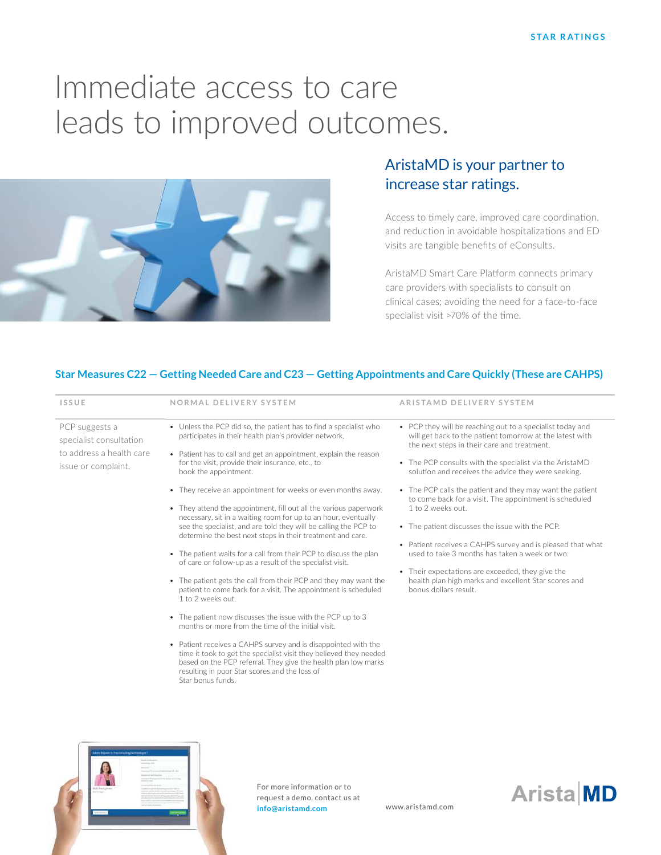# Immediate access to care leads to improved outcomes.



## AristaMD is your partner to increase star ratings.

Access to timely care, improved care coordination, and reduction in avoidable hospitalizations and ED visits are tangible benefits of eConsults.

AristaMD Smart Care Platform connects primary care providers with specialists to consult on clinical cases; avoiding the need for a face-to-face specialist visit >70% of the time.

#### **Star Measures C22 — Getting Needed Care and C23 — Getting Appointments and Care Quickly (These are CAHPS)**

| <b>ISSUE</b>                                                                                 | NORMAL DELIVERY SYSTEM                                                                                                                                                                                                                                                                                                                                                                                                                                                                                                                                                                                                                                                                                                                                                                                                                                                                                                                                                                                                                                                                                                                                                                                                                                                                                                | ARISTAMD DELIVERY SYSTEM                                                                                                                                                                                                                                                                                                                                                                                                                                                                                                                                                                                                                                                                                                                   |
|----------------------------------------------------------------------------------------------|-----------------------------------------------------------------------------------------------------------------------------------------------------------------------------------------------------------------------------------------------------------------------------------------------------------------------------------------------------------------------------------------------------------------------------------------------------------------------------------------------------------------------------------------------------------------------------------------------------------------------------------------------------------------------------------------------------------------------------------------------------------------------------------------------------------------------------------------------------------------------------------------------------------------------------------------------------------------------------------------------------------------------------------------------------------------------------------------------------------------------------------------------------------------------------------------------------------------------------------------------------------------------------------------------------------------------|--------------------------------------------------------------------------------------------------------------------------------------------------------------------------------------------------------------------------------------------------------------------------------------------------------------------------------------------------------------------------------------------------------------------------------------------------------------------------------------------------------------------------------------------------------------------------------------------------------------------------------------------------------------------------------------------------------------------------------------------|
| PCP suggests a<br>specialist consultation<br>to address a health care<br>issue or complaint. | • Unless the PCP did so, the patient has to find a specialist who<br>participates in their health plan's provider network.<br>• Patient has to call and get an appointment, explain the reason<br>for the visit, provide their insurance, etc., to<br>book the appointment.<br>• They receive an appointment for weeks or even months away.<br>• They attend the appointment, fill out all the various paperwork<br>necessary, sit in a waiting room for up to an hour, eventually<br>see the specialist, and are told they will be calling the PCP to<br>determine the best next steps in their treatment and care.<br>• The patient waits for a call from their PCP to discuss the plan<br>of care or follow-up as a result of the specialist visit.<br>• The patient gets the call from their PCP and they may want the<br>patient to come back for a visit. The appointment is scheduled<br>1 to 2 weeks out.<br>• The patient now discusses the issue with the PCP up to 3<br>months or more from the time of the initial visit.<br>• Patient receives a CAHPS survey and is disappointed with the<br>time it took to get the specialist visit they believed they needed<br>based on the PCP referral. They give the health plan low marks<br>resulting in poor Star scores and the loss of<br>Star bonus funds. | • PCP they will be reaching out to a specialist today and<br>will get back to the patient tomorrow at the latest with<br>the next steps in their care and treatment.<br>• The PCP consults with the specialist via the AristaMD<br>solution and receives the advice they were seeking.<br>• The PCP calls the patient and they may want the patient<br>to come back for a visit. The appointment is scheduled<br>1 to 2 weeks out.<br>• The patient discusses the issue with the PCP.<br>• Patient receives a CAHPS survey and is pleased that what<br>used to take 3 months has taken a week or two.<br>• Their expectations are exceeded, they give the<br>health plan high marks and excellent Star scores and<br>bonus dollars result. |



For more information or to request a demo, contact us at **info@aristamd.com** www.aristamd.com